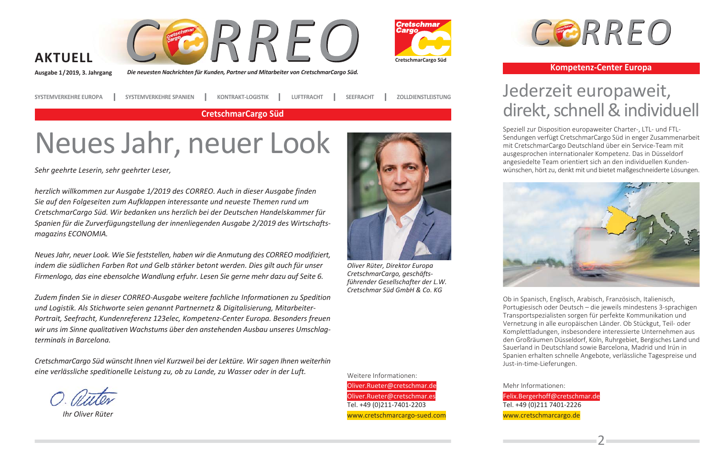

Die neuesten Nachrichten für Kunden, Partner und Mitarbeiter von CretschmarCargo Süd.





Ausgabe 1/2019, 3. Jahrgang

**SYSTEMVERKEHRE EUROPA** 

**KONTRAKT-LOGISTIK SYSTEMVERKEHRE SPANIEN** 

**SEEFRACHT ZOLLDIENSTLEISTUNG** 

**LUFTFRACHT** 

**CretschmarCargo Süd** 

# Neues Jahr, neuer Look

Sehr geehrte Leserin, sehr geehrter Leser,

herzlich willkommen zur Ausgabe 1/2019 des CORREO. Auch in dieser Ausgabe finden Sie auf den Folgeseiten zum Aufklappen interessante und neueste Themen rund um CretschmarCargo Süd. Wir bedanken uns herzlich bei der Deutschen Handelskammer für Spanien für die Zurverfügungstellung der innenliegenden Ausgabe 2/2019 des Wirtschaftsmagazins ECONOMIA.

Neues Jahr, neuer Look. Wie Sie feststellen, haben wir die Anmutung des CORREO modifiziert, indem die südlichen Farben Rot und Gelb stärker betont werden. Dies gilt auch für unser Firmenlogo, das eine ebensolche Wandlung erfuhr. Lesen Sie gerne mehr dazu auf Seite 6.

Zudem finden Sie in dieser CORREO-Ausgabe weitere fachliche Informationen zu Spedition und Logistik. Als Stichworte seien genannt Partnernetz & Digitalisierung, Mitarbeiter-Portrait, Seefracht, Kundenreferenz 123elec, Kompetenz-Center Europa. Besonders freuen wir uns im Sinne qualitativen Wachstums über den anstehenden Ausbau unseres Umschlagterminals in Barcelona.

CretschmarCargo Süd wünscht Ihnen viel Kurzweil bei der Lektüre. Wir sagen Ihnen weiterhin eine verlässliche speditionelle Leistung zu, ob zu Lande, zu Wasser oder in der Luft.

Ihr Oliver Rüter



Oliver Rüter, Direktor Europa CretschmarCargo, geschäftsführender Gesellschafter der L.W. Cretschmar Süd GmhH & Co. KG

Weitere Informationen: Oliver.Rueter@cretschmar.de

Oliver.Rueter@cretschmar.es

www.cretschmarcargo-sued.com

Tel. +49 (0) 211-7401-2203



#### **Kompetenz-Center Europa**

### Jederzeit europaweit, direkt, schnell & individuell

Speziell zur Disposition europaweiter Charter-, LTL- und FTL-Sendungen verfügt CretschmarCargo Süd in enger Zusammenarbeit mit CretschmarCargo Deutschland über ein Service-Team mit ausgesprochen internationaler Kompetenz. Das in Düsseldorf angesiedelte Team orientiert sich an den individuellen Kundenwünschen, hört zu, denkt mit und bietet maßgeschneiderte Lösungen.



Ob in Spanisch, Englisch, Arabisch, Französisch, Italienisch, Portugiesisch oder Deutsch - die jeweils mindestens 3-sprachigen Transportspezialisten sorgen für perfekte Kommunikation und Vernetzung in alle europäischen Länder. Ob Stückgut, Teil- oder Komplettladungen, insbesondere interessierte Unternehmen aus den Großräumen Düsseldorf, Köln, Ruhrgebiet, Bergisches Land und Sauerland in Deutschland sowie Barcelona, Madrid und Irún in Spanien erhalten schnelle Angebote, verlässliche Tagespreise und Just-in-time-Lieferungen.

Mehr Informationen:

Felix.Bergerhoff@cretschmar.de Tel. +49 (0) 211 7401-2226 www.cretschmarcargo.de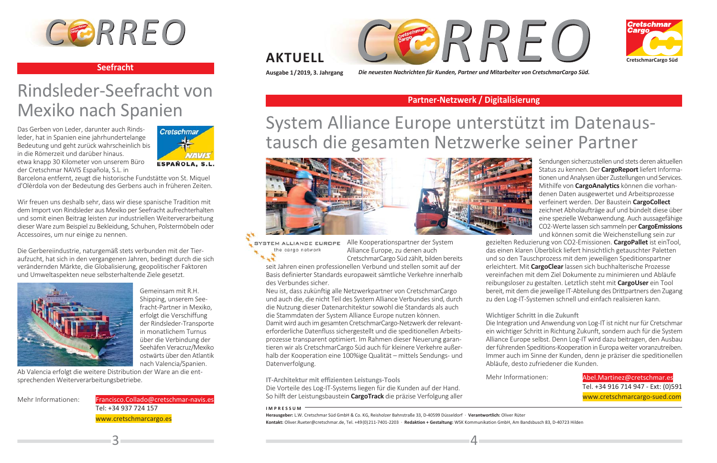

#### **Seefracht**

## Rindsleder-Seefracht von Mexiko nach Spanien

Das Gerben von Leder, darunter auch Rindsleder, hat in Spanien eine jahrhundertelange Bedeutung und geht zurück wahrscheinlich bis in die Römerzeit und darüber hinaus. etwa knapp 30 Kilometer von unserem Büro der Cretschmar NAVIS Española, S.L. in



Barcelona entfernt, zeugt die historische Fundstätte von St. Miquel d'Olèrdola von der Bedeutung des Gerbens auch in früheren Zeiten.

Wir freuen uns deshalb sehr, dass wir diese spanische Tradition mit dem Import von Rindsleder aus Mexiko per Seefracht aufrechterhalten und somit einen Beitrag leisten zur industriellen Weiterverarbeitung dieser Ware zum Beispiel zu Bekleidung, Schuhen, Polstermöbeln oder Accessoires, um nur einige zu nennen.

Die Gerbereijndustrie, naturgemäß stets verbunden mit der Tieraufzucht, hat sich in den vergangenen Jahren, bedingt durch die sich verändernden Märkte, die Globalisierung, geopolitischer Faktoren und Umweltaspekten neue selbsterhaltende Ziele gesetzt.



Gemeinsam mit R.H. Shipping, unserem Seefracht-Partner in Mexiko. erfolgt die Verschiffung der Rindsleder-Transporte in monatlichem Turnus über die Verbindung der Seehäfen Veracruz/Mexiko ostwärts über den Atlantik nach Valencia/Spanien.

Ab Valencia erfolgt die weitere Distribution der Ware an die entsprechenden Weiterverarbeitungsbetriebe.

Mehr Informationen:

Francisco.Collado@cretschmar-navis.es Tel: +34 937 724 157 www.cretschmarcargo.es





#### **AKTUELL**

Ausgabe 1/2019, 3. Jahrgang

Die neuesten Nachrichten für Kunden, Partner und Mitarbeiter von CretschmarCargo Süd.

#### Partner-Netzwerk / Digitalisierung

## System Alliance Europe unterstützt im Datenaustausch die gesamten Netzwerke seiner Partner



SYSTEM ALLIANCE EUROPE Alle Kooperationspartner der System the cargo network Alliance Europe, zu denen auch

CretschmarCargo Süd zählt, bilden bereits seit Jahren einen professionellen Verbund und stellen somit auf der Basis definierter Standards europaweit sämtliche Verkehre innerhalb des Verbundes sicher.

Neu ist, dass zukünftig alle Netzwerkpartner von CretschmarCargo und auch die, die nicht Teil des System Alliance Verbundes sind, durch die Nutzung dieser Datenarchitektur sowohl die Standards als auch die Stammdaten der System Alliance Europe nutzen können.

Damit wird auch im gesamten CretschmarCargo-Netzwerk der relevanterforderliche Datenfluss sichergestellt und die speditionellen Arbeitsprozesse transparent optimiert. Im Rahmen dieser Neuerung garantieren wir als CretschmarCargo Süd auch für kleinere Verkehre außerhalb der Kooperation eine 100%ige Qualität – mittels Sendungs- und Datenverfolgung.

IT-Architektur mit effizienten Leistungs-Tools Die Vorteile des Log-IT-Systems liegen für die Kunden auf der Hand.

So hilft der Leistungsbaustein CargoTrack die präzise Verfolgung aller

#### **IMPRESSUM**

Herausgeber: L.W. Cretschmar Süd GmbH & Co. KG. Reisholzer Bahnstraße 33. D-40599 Düsseldorf · Verantwortlich: Oliver Rüter Kontakt: Oliver.Rueter@cretschmar.de, Tel. +49(0) 211-7401-2203 · Redaktion + Gestaltung: WSK Kommunikation GmbH, Am Bandsbusch 83, D-40723 Hilden

Sendungen sicherzustellen und stets deren aktuellen Status zu kennen. Der CargoReport liefert Informationen und Analysen über Zustellungen und Services. Mithilfe von CargoAnalytics können die vorhandenen Daten ausgewertet und Arbeitsprozesse verfeinert werden. Der Baustein CargoCollect zeichnet Abholaufträge auf und bündelt diese über eine spezielle Webanwendung. Auch aussagefähige CO2-Werte lassen sich sammeln per CargoEmissions und können somit die Weichenstellung sein zur

gezielten Reduzierung von CO2-Emissionen. CargoPallet ist einTool, das einen klaren Überblick liefert hinsichtlich getauschter Paletten und so den Tauschprozess mit dem jeweiligen Speditionspartner erleichtert. Mit CargoClear lassen sich buchhalterische Prozesse vereinfachen mit dem Ziel Dokumente zu minimieren und Abläufe reibungsloser zu gestalten. Letztlich steht mit CargoUser ein Tool bereit, mit dem die jeweilige IT-Abteilung des Drittpartners den Zugang zu den Log-IT-Systemen schnell und einfach realisieren kann.

#### Wichtiger Schritt in die Zukunft

Die Integration und Anwendung von Log-IT ist nicht nur für Cretschmar ein wichtiger Schritt in Richtung Zukunft, sondern auch für die System Alliance Europe selbst. Denn Log-IT wird dazu beitragen, den Ausbau der führenden Speditions-Kooperation in Europa weiter voranzutreiben. Immer auch im Sinne der Kunden, denn je präziser die speditionellen Abläufe, desto zufriedener die Kunden.

Mehr Informationen:

 $\Delta$ 

#### Abel. Martinez@cretschmar.es Tel. +34 916 714 947 - Ext: (0)591 www.cretschmarcargo-sued.com

 $\mathbf{R}$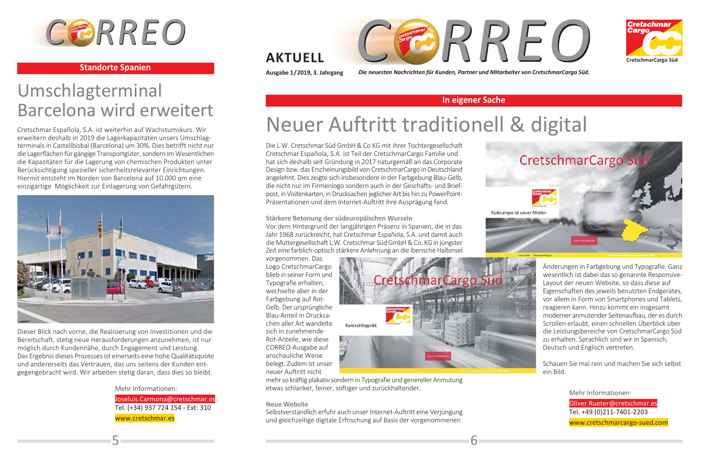

#### **Standorte Spanien**

### Umschlagterminal Barcelona wird erweitert

Cretschmar Española, S.A. ist weiterhin auf Wachstumskurs. Wir erweitern deshalb in 2019 die Lagerkapazitäten unsers Umschlagterminals in Castellbisbal (Barcelona) um 30%. Dies betrifft nicht nur die Lagerflächen für gängige Transportgüter, sondern im Wesentlichen die Kapazitäten für die Lagerung von chemischen Produkten unter Berücksichtigung spezieller sicherheitsrelevanter Einrichtungen. Hiermit entsteht im Norden von Barcelona auf 10.000 qm eine einzigartige Möglichkeit zur Einlagerung von Gefahrgütern.



Dieser Blick nach vorne, die Realisierung von Investitionen und die Bereitschaft, stetig neue Herausforderungen anzunehmen, ist nur möglich durch Kundennähe, durch Engagement und Leistung. Das Ergebnis dieses Prozesses ist einerseits eine hohe Qualitätsquote und andererseits das Vertrauen, das uns seitens der Kunden entgegengebracht wird. Wir arbeiten stetig daran, dass dies so bleibt.

> Mehr Informationen: Joseluis.Carmona@cretschmar.es Tel. (+34) 937 724 154 - Ext: 310 www.cretschmar.es





#### **AKTUELL**

Ausgabe 1/2019, 3. Jahrgang

Die neuesten Nachrichten für Kunden, Partner und Mitarbeiter von CretschmarCargo Süd.

#### In eigener Sache

## Neuer Auftritt traditionell & digital

Die L.W. Cretschmar Süd GmbH & Co KG mit ihrer Tochtergesellschaft Cretschmar Española, S.A. ist Teil der CretschmarCargo Familie und hat sich deshalb seit Gründung in 2017 naturgemäß an das Corporate Design bzw. das Erscheinungsbild von CretschmarCargo in Deutschland angelehnt. Dies zeigte sich insbesondere in der Farbgebung Blau-Gelb, die nicht nur im Firmenlogo sondern auch in der Geschäfts- und Briefpost, in Visitenkarten, in Drucksachen jeglicher Art bis hin zu PowerPoint-Präsentationen und dem Internet-Auftritt ihre Ausprägung fand.

#### Stärkere Betonung der südeuropäischen Wurzeln

Vor dem Hintergrund der langjährigen Präsenz in Spanien, die in das Jahr 1968 zurückreicht, hat Cretschmar Española, S.A. und damit auch die Muttergesellschaft L.W. Cretschmar Süd GmbH & Co. KG in jüngster Zeit eine farblich-optisch stärkere Anlehnung an die iberische Halbinsel

vorgenommen. Das Logo CretschmarCargo blieb in seiner Form und Typografie erhalten. wechselte aber in der Farbgebung auf Rot-Gelb. Der ursprüngliche Blau-Anteil in Drucksachen aller Art wandelte sich in zunehmende Rot-Anteile, wie diese CORREO-Ausgabe auf anschauliche Weise belegt. Zudem ist unser neuer Auftritt nicht



6

mehr so kräftig plakativ sondern in Typografie und genereller Anmutung etwas schlanker, feiner, softiger und zurückhaltender.

#### **Neue Website**

Selbstverständlich erfuhr auch unser Internet-Auftritt eine Verjüngung und gleichzeitige digitale Erfrischung auf Basis der vorgenommenen



Änderungen in Farbgebung und Typografie. Ganz wesentlich ist dabei das so genannte Responsive-Lavout der neuen Website, so dass diese auf Eigenschaften des jeweils benutzten Endgerätes, vor allem in Form von Smartphones und Tablets, reagieren kann. Hinzu kommt ein insgesamt moderner anmutender Seitenaufbau, der es durch Scrollen erlaubt, einen schnellen Überblick über die Leistungsbereiche von CretschmarCargo Süd zu erhalten. Sprachlich sind wir in Spanisch, Deutsch und Englisch vertreten.

Schauen Sie mal rein und machen Sie sich selbst ein Bild.

> Mehr Informationen: Oliver.Rueter@cretschmar.es Tel. +49 (0)211-7401-2203 www.cretschmarcargo-sued.com

51